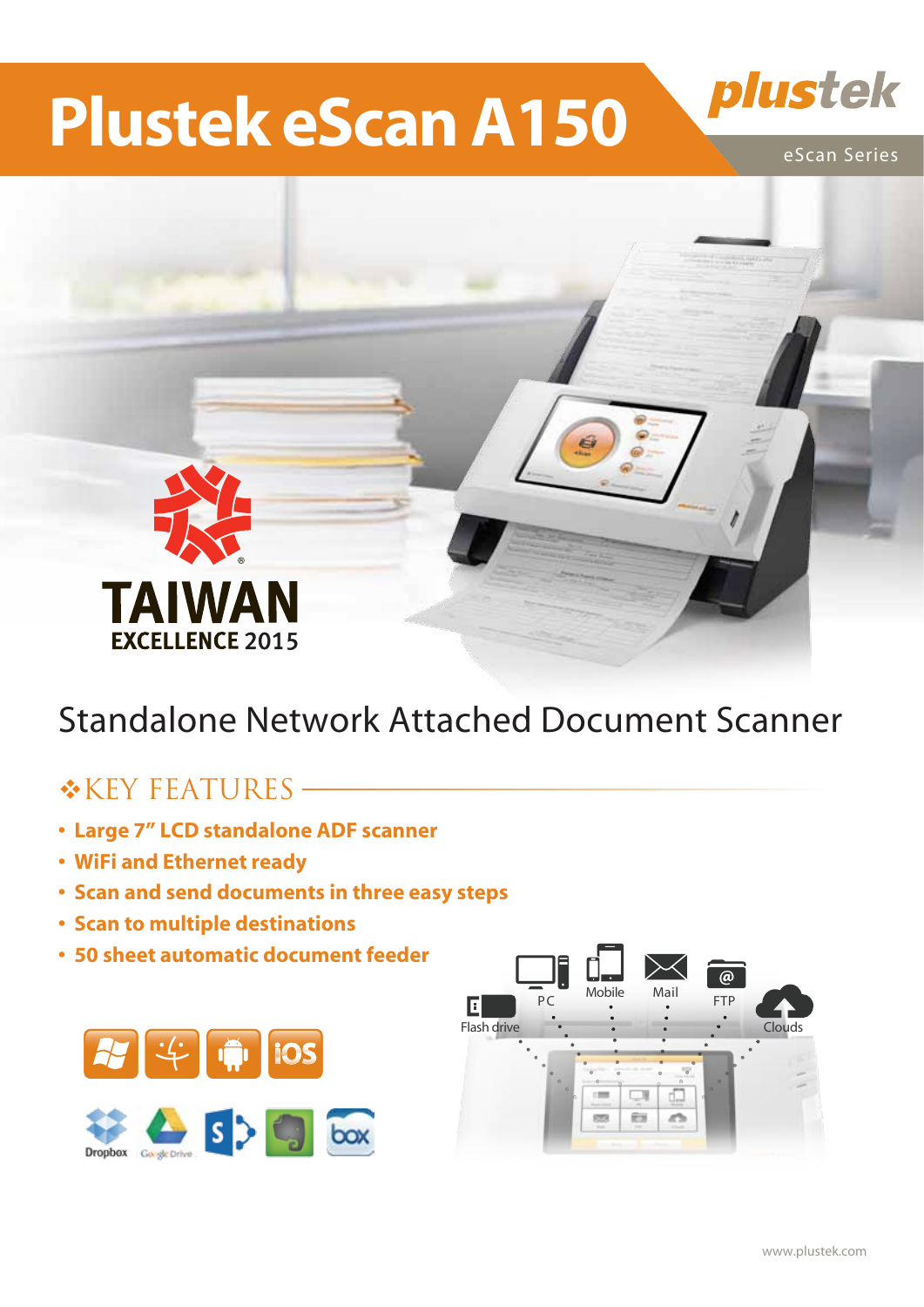# **Plustek eScan A150**



### Standalone Network Attached Document Scanner

### $*$ KEY FEATURES –

- **�Large 7" LCD standalone ADF scanner**
- **�WiFi and Ethernet ready**
- **�Scan and send documents in three easy steps**
- **�Scan to multiple destinations**
- **�50 sheet automatic document feeder**





plustek